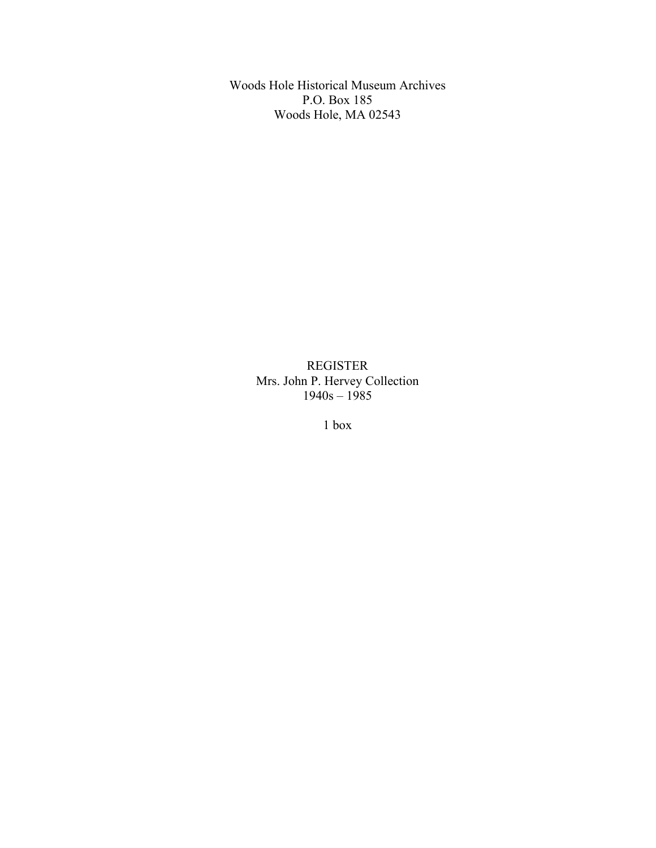Woods Hole Historical Museum Archives P.O. Box 185 Woods Hole, MA 02543

> REGISTER Mrs. John P. Hervey Collection 1940s – 1985

> > 1 box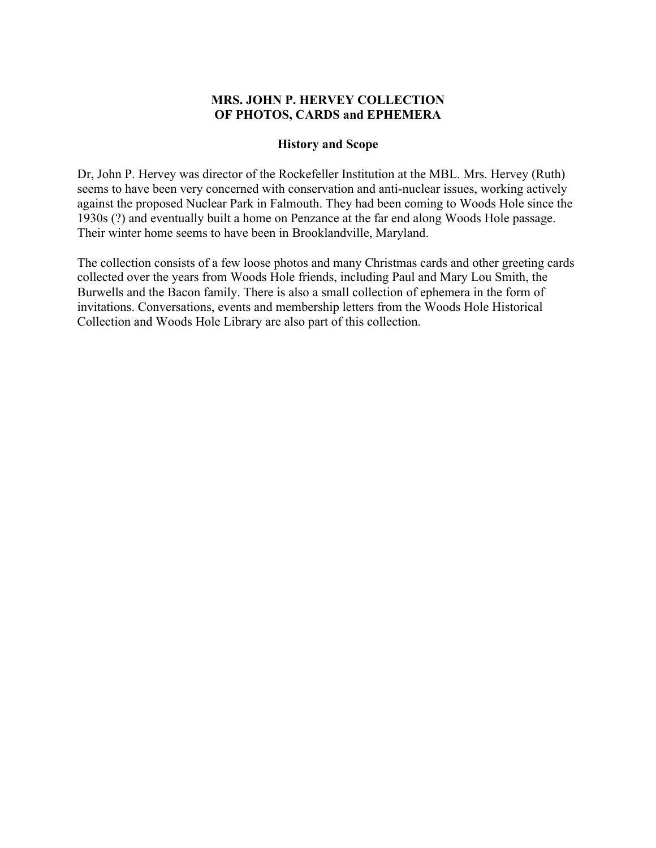### **MRS. JOHN P. HERVEY COLLECTION OF PHOTOS, CARDS and EPHEMERA**

#### **History and Scope**

Dr, John P. Hervey was director of the Rockefeller Institution at the MBL. Mrs. Hervey (Ruth) seems to have been very concerned with conservation and anti-nuclear issues, working actively against the proposed Nuclear Park in Falmouth. They had been coming to Woods Hole since the 1930s (?) and eventually built a home on Penzance at the far end along Woods Hole passage. Their winter home seems to have been in Brooklandville, Maryland.

The collection consists of a few loose photos and many Christmas cards and other greeting cards collected over the years from Woods Hole friends, including Paul and Mary Lou Smith, the Burwells and the Bacon family. There is also a small collection of ephemera in the form of invitations. Conversations, events and membership letters from the Woods Hole Historical Collection and Woods Hole Library are also part of this collection.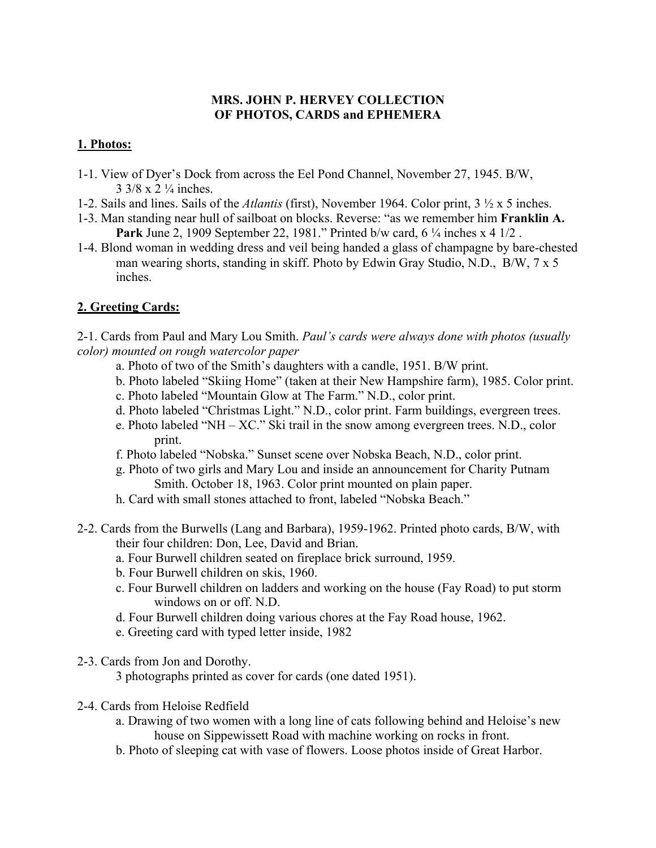## **MRS. JOHN P. HERVEY COLLECTION OF PHOTOS, CARDS and EPHEMERA**

# **1. Photos:**

- 1-1. View of Dyer's Dock from across the Eel Pond Channel, November 27, 1945. B/W, 3 3/8 x 2 ¼ inches.
- 1-2. Sails and lines. Sails of the *Atlantis* (first), November 1964. Color print, 3 ½ x 5 inches.
- 1-3. Man standing near hull of sailboat on blocks. Reverse: "as we remember him **Franklin A. Park** June 2, 1909 September 22, 1981." Printed b/w card, 6 ¼ inches x 4 1/2 .
- 1-4. Blond woman in wedding dress and veil being handed a glass of champagne by bare-chested man wearing shorts, standing in skiff. Photo by Edwin Gray Studio, N.D., B/W, 7 x 5 inches.

# **2. Greeting Cards:**

2-1. Cards from Paul and Mary Lou Smith. *Paul's cards were always done with photos (usually color) mounted on rough watercolor paper*

- a. Photo of two of the Smith's daughters with a candle, 1951. B/W print.
- b. Photo labeled "Skiing Home" (taken at their New Hampshire farm), 1985. Color print.
- c. Photo labeled "Mountain Glow at The Farm." N.D., color print.
- d. Photo labeled "Christmas Light." N.D., color print. Farm buildings, evergreen trees.
- e. Photo labeled "NH XC." Ski trail in the snow among evergreen trees. N.D., color print.
- f. Photo labeled "Nobska." Sunset scene over Nobska Beach, N.D., color print.
- g. Photo of two girls and Mary Lou and inside an announcement for Charity Putnam Smith. October 18, 1963. Color print mounted on plain paper.
- h. Card with small stones attached to front, labeled "Nobska Beach."
- 2-2. Cards from the Burwells (Lang and Barbara), 1959-1962. Printed photo cards, B/W, with their four children: Don, Lee, David and Brian.
	- a. Four Burwell children seated on fireplace brick surround, 1959.
	- b. Four Burwell children on skis, 1960.
	- c. Four Burwell children on ladders and working on the house (Fay Road) to put storm windows on or off. N.D.
	- d. Four Burwell children doing various chores at the Fay Road house, 1962.
	- e. Greeting card with typed letter inside, 1982
- 2-3. Cards from Jon and Dorothy.

3 photographs printed as cover for cards (one dated 1951).

- 2-4. Cards from Heloise Redfield
	- a. Drawing of two women with a long line of cats following behind and Heloise's new house on Sippewissett Road with machine working on rocks in front.
	- b. Photo of sleeping cat with vase of flowers. Loose photos inside of Great Harbor.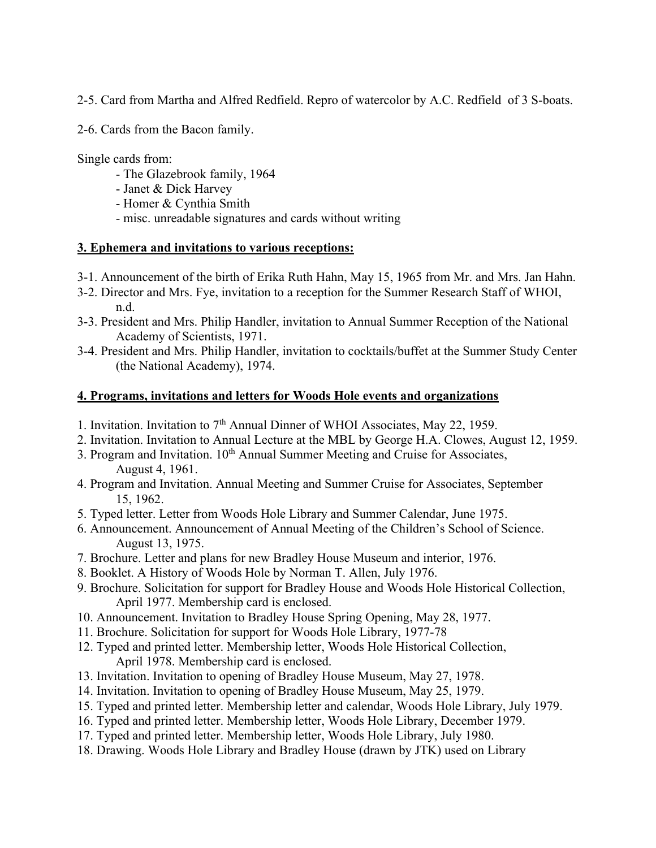2-5. Card from Martha and Alfred Redfield. Repro of watercolor by A.C. Redfield of 3 S-boats.

2-6. Cards from the Bacon family.

Single cards from:

- The Glazebrook family, 1964
- Janet & Dick Harvey
- Homer & Cynthia Smith
- misc. unreadable signatures and cards without writing

### **3. Ephemera and invitations to various receptions:**

- 3-1. Announcement of the birth of Erika Ruth Hahn, May 15, 1965 from Mr. and Mrs. Jan Hahn.
- 3-2. Director and Mrs. Fye, invitation to a reception for the Summer Research Staff of WHOI, n.d.
- 3-3. President and Mrs. Philip Handler, invitation to Annual Summer Reception of the National Academy of Scientists, 1971.
- 3-4. President and Mrs. Philip Handler, invitation to cocktails/buffet at the Summer Study Center (the National Academy), 1974.

### **4. Programs, invitations and letters for Woods Hole events and organizations**

- 1. Invitation. Invitation to 7<sup>th</sup> Annual Dinner of WHOI Associates, May 22, 1959.
- 2. Invitation. Invitation to Annual Lecture at the MBL by George H.A. Clowes, August 12, 1959.
- 3. Program and Invitation.  $10<sup>th</sup>$  Annual Summer Meeting and Cruise for Associates, August 4, 1961.
- 4. Program and Invitation. Annual Meeting and Summer Cruise for Associates, September 15, 1962.
- 5. Typed letter. Letter from Woods Hole Library and Summer Calendar, June 1975.
- 6. Announcement. Announcement of Annual Meeting of the Children's School of Science. August 13, 1975.
- 7. Brochure. Letter and plans for new Bradley House Museum and interior, 1976.
- 8. Booklet. A History of Woods Hole by Norman T. Allen, July 1976.
- 9. Brochure. Solicitation for support for Bradley House and Woods Hole Historical Collection, April 1977. Membership card is enclosed.
- 10. Announcement. Invitation to Bradley House Spring Opening, May 28, 1977.
- 11. Brochure. Solicitation for support for Woods Hole Library, 1977-78
- 12. Typed and printed letter. Membership letter, Woods Hole Historical Collection, April 1978. Membership card is enclosed.
- 13. Invitation. Invitation to opening of Bradley House Museum, May 27, 1978.
- 14. Invitation. Invitation to opening of Bradley House Museum, May 25, 1979.
- 15. Typed and printed letter. Membership letter and calendar, Woods Hole Library, July 1979.
- 16. Typed and printed letter. Membership letter, Woods Hole Library, December 1979.
- 17. Typed and printed letter. Membership letter, Woods Hole Library, July 1980.
- 18. Drawing. Woods Hole Library and Bradley House (drawn by JTK) used on Library